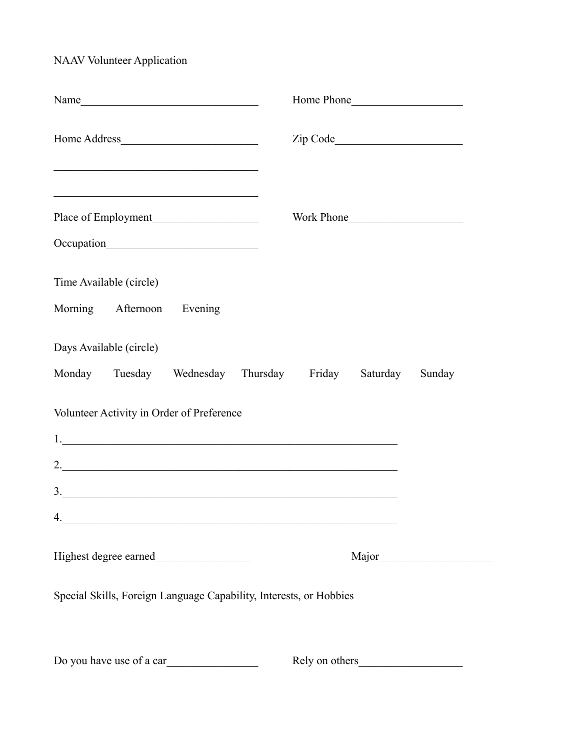NAAV Volunteer Application

| <u> 1989 - Paris Paris II, martin amerikana amerikana di Indonesia dan mengangkan pada tahun 1980 - Paris Paris P</u> | Work Phone |  |  |
|-----------------------------------------------------------------------------------------------------------------------|------------|--|--|
| Time Available (circle)<br>Morning Afternoon Evening                                                                  |            |  |  |
| Days Available (circle)<br>Monday Tuesday Wednesday Thursday Friday Saturday                                          | Sunday     |  |  |
| Volunteer Activity in Order of Preference                                                                             |            |  |  |
| 3.                                                                                                                    |            |  |  |
|                                                                                                                       |            |  |  |
|                                                                                                                       |            |  |  |
| Special Skills, Foreign Language Capability, Interests, or Hobbies                                                    |            |  |  |
| Do you have use of a car                                                                                              |            |  |  |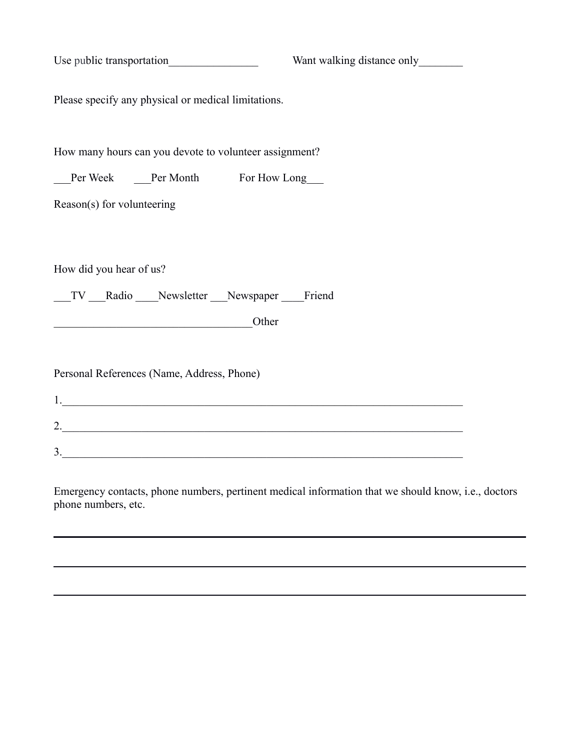| Use public transportation                                                   | Want walking distance only |  |
|-----------------------------------------------------------------------------|----------------------------|--|
| Please specify any physical or medical limitations.                         |                            |  |
| How many hours can you devote to volunteer assignment?                      |                            |  |
| __Per Week ____Per Month For How Long                                       |                            |  |
| Reason(s) for volunteering                                                  |                            |  |
| How did you hear of us?<br>__TV __Radio ___Newsletter __Newspaper ___Friend |                            |  |
| Other                                                                       |                            |  |
| Personal References (Name, Address, Phone)                                  |                            |  |
|                                                                             |                            |  |
|                                                                             |                            |  |
| 3.                                                                          |                            |  |

Emergency contacts, phone numbers, pertinent medical information that we should know, i.e., doctors phone numbers, etc.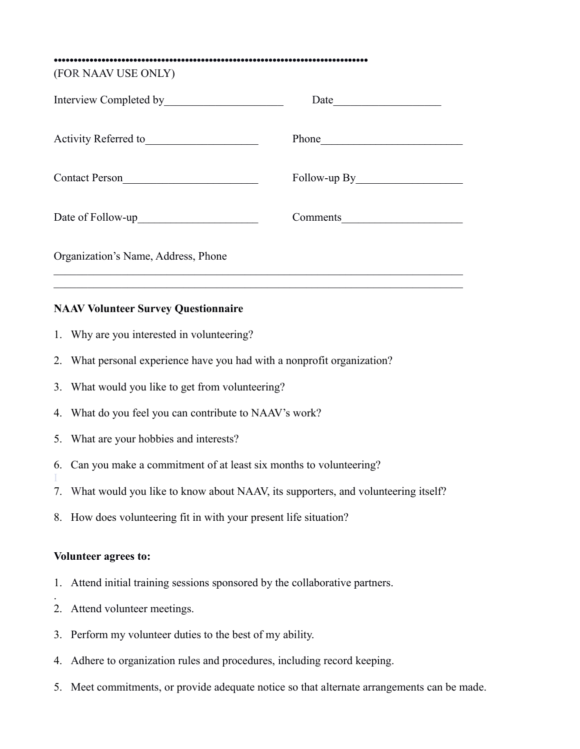**•••••••••••••••••••••••••••••••••••••••••••••••••••••••••••••••••••••••••••••••**

(FOR NAAV USE ONLY)

| Interview Completed by              | Date         |
|-------------------------------------|--------------|
| Activity Referred to                |              |
| Contact Person                      | Follow-up By |
|                                     | Comments     |
| Organization's Name, Address, Phone |              |
|                                     |              |

#### **NAAV Volunteer Survey Questionnaire**

- 1. Why are you interested in volunteering?
- 2. What personal experience have you had with a nonprofit organization?
- 3. What would you like to get from volunteering?
- 4. What do you feel you can contribute to NAAV's work?
- 5. What are your hobbies and interests?
- 6. Can you make a commitment of at least six months to volunteering?
- 7. What would you like to know about NAAV, its supporters, and volunteering itself?
- 8. How does volunteering fit in with your present life situation?

#### **Volunteer agrees to:**

I

.

- 1. Attend initial training sessions sponsored by the collaborative partners.
- 2. Attend volunteer meetings.
- 3. Perform my volunteer duties to the best of my ability.
- 4. Adhere to organization rules and procedures, including record keeping.
- 5. Meet commitments, or provide adequate notice so that alternate arrangements can be made.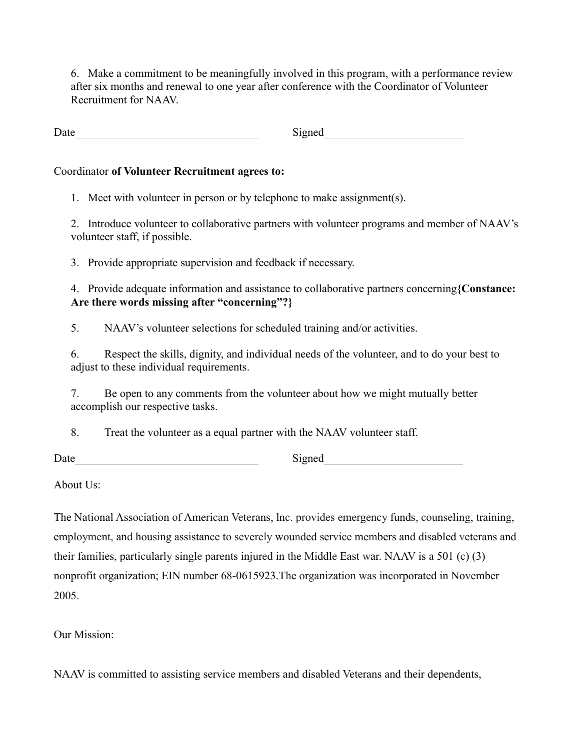6. Make a commitment to be meaningfully involved in this program, with a performance review after six months and renewal to one year after conference with the Coordinator of Volunteer Recruitment for NAAV.

Date Signed Signed

# Coordinator **of Volunteer Recruitment agrees to:**

1. Meet with volunteer in person or by telephone to make assignment(s).

2. Introduce volunteer to collaborative partners with volunteer programs and member of NAAV's volunteer staff, if possible.

3. Provide appropriate supervision and feedback if necessary.

4. Provide adequate information and assistance to collaborative partners concerning**{Constance: Are there words missing after "concerning"?}**

5. NAAV's volunteer selections for scheduled training and/or activities.

6. Respect the skills, dignity, and individual needs of the volunteer, and to do your best to adjust to these individual requirements.

7. Be open to any comments from the volunteer about how we might mutually better accomplish our respective tasks.

8. Treat the volunteer as a equal partner with the NAAV volunteer staff.

Date\_\_\_\_\_\_\_\_\_\_\_\_\_\_\_\_\_\_\_\_\_\_\_\_\_\_\_\_\_\_\_\_\_ Signed\_\_\_\_\_\_\_\_\_\_\_\_\_\_\_\_\_\_\_\_\_\_\_\_\_

About Us:

The National Association of American Veterans, lnc. provides emergency funds, counseling, training, employment, and housing assistance to severely wounded service members and disabled veterans and their families, particularly single parents injured in the Middle East war. NAAV is a 501 (c) (3) nonprofit organization; EIN number 68-0615923.The organization was incorporated in November 2005.

Our Mission:

NAAV is committed to assisting service members and disabled Veterans and their dependents,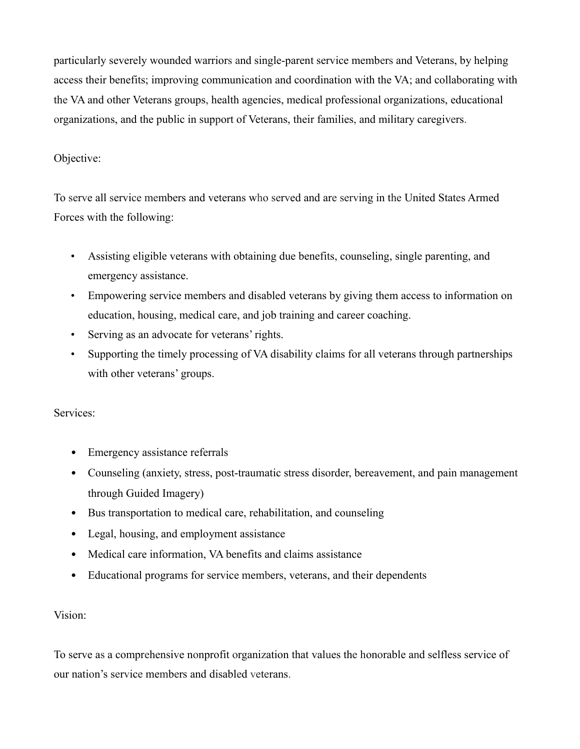particularly severely wounded warriors and single-parent service members and Veterans, by helping access their benefits; improving communication and coordination with the VA; and collaborating with the VA and other Veterans groups, health agencies, medical professional organizations, educational organizations, and the public in support of Veterans, their families, and military caregivers.

# Objective:

To serve all service members and veterans who served and are serving in the United States Armed Forces with the following:

- Assisting eligible veterans with obtaining due benefits, counseling, single parenting, and emergency assistance.
- Empowering service members and disabled veterans by giving them access to information on education, housing, medical care, and job training and career coaching.
- Serving as an advocate for veterans' rights.
- Supporting the timely processing of VA disability claims for all veterans through partnerships with other veterans' groups.

## Services:

- Emergency assistance referrals
- Counseling (anxiety, stress, post-traumatic stress disorder, bereavement, and pain management through Guided Imagery)
- Bus transportation to medical care, rehabilitation, and counseling
- Legal, housing, and employment assistance
- Medical care information, VA benefits and claims assistance
- Educational programs for service members, veterans, and their dependents

## Vision:

To serve as a comprehensive nonprofit organization that values the honorable and selfless service of our nation's service members and disabled veterans.